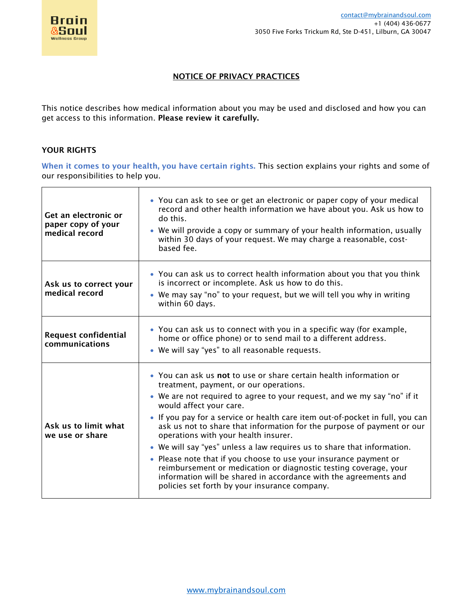

٦

# NOTICE OF PRIVACY PRACTICES

This notice describes how medical information about you may be used and disclosed and how you can get access to this information. Please review it carefully.

### YOUR RIGHTS

 $\Gamma$ 

When it comes to your health, you have certain rights. This section explains your rights and some of our responsibilities to help you.

| Get an electronic or<br>paper copy of your<br>medical record | • You can ask to see or get an electronic or paper copy of your medical<br>record and other health information we have about you. Ask us how to<br>do this.<br>• We will provide a copy or summary of your health information, usually<br>within 30 days of your request. We may charge a reasonable, cost-<br>based fee.                                                                                                                                                                                                                                                                                                                                                                                                                                       |
|--------------------------------------------------------------|-----------------------------------------------------------------------------------------------------------------------------------------------------------------------------------------------------------------------------------------------------------------------------------------------------------------------------------------------------------------------------------------------------------------------------------------------------------------------------------------------------------------------------------------------------------------------------------------------------------------------------------------------------------------------------------------------------------------------------------------------------------------|
| Ask us to correct your<br>medical record                     | • You can ask us to correct health information about you that you think<br>is incorrect or incomplete. Ask us how to do this.<br>• We may say "no" to your request, but we will tell you why in writing<br>within 60 days.                                                                                                                                                                                                                                                                                                                                                                                                                                                                                                                                      |
| <b>Request confidential</b><br>communications                | • You can ask us to connect with you in a specific way (for example,<br>home or office phone) or to send mail to a different address.<br>• We will say "yes" to all reasonable requests.                                                                                                                                                                                                                                                                                                                                                                                                                                                                                                                                                                        |
| Ask us to limit what<br>we use or share                      | • You can ask us not to use or share certain health information or<br>treatment, payment, or our operations.<br>• We are not required to agree to your request, and we my say "no" if it<br>would affect your care.<br>• If you pay for a service or health care item out-of-pocket in full, you can<br>ask us not to share that information for the purpose of payment or our<br>operations with your health insurer.<br>• We will say "yes" unless a law requires us to share that information.<br>• Please note that if you choose to use your insurance payment or<br>reimbursement or medication or diagnostic testing coverage, your<br>information will be shared in accordance with the agreements and<br>policies set forth by your insurance company. |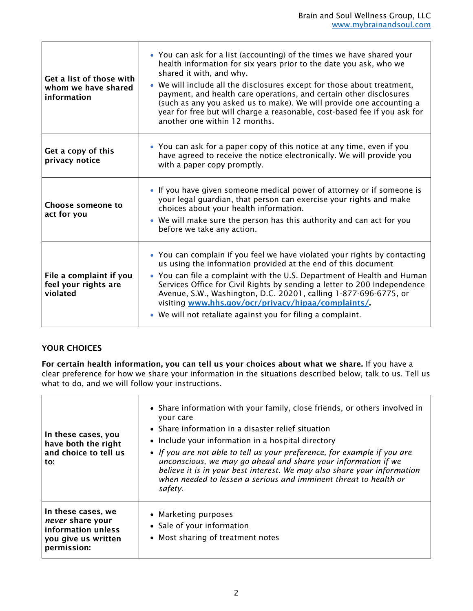| Get a list of those with<br>whom we have shared<br>information | • You can ask for a list (accounting) of the times we have shared your<br>health information for six years prior to the date you ask, who we<br>shared it with, and why.<br>• We will include all the disclosures except for those about treatment,<br>payment, and health care operations, and certain other disclosures<br>(such as any you asked us to make). We will provide one accounting a<br>year for free but will charge a reasonable, cost-based fee if you ask for<br>another one within 12 months. |
|----------------------------------------------------------------|-----------------------------------------------------------------------------------------------------------------------------------------------------------------------------------------------------------------------------------------------------------------------------------------------------------------------------------------------------------------------------------------------------------------------------------------------------------------------------------------------------------------|
| Get a copy of this<br>privacy notice                           | • You can ask for a paper copy of this notice at any time, even if you<br>have agreed to receive the notice electronically. We will provide you<br>with a paper copy promptly.                                                                                                                                                                                                                                                                                                                                  |
| Choose someone to<br>act for you                               | • If you have given someone medical power of attorney or if someone is<br>your legal guardian, that person can exercise your rights and make<br>choices about your health information.<br>• We will make sure the person has this authority and can act for you<br>before we take any action.                                                                                                                                                                                                                   |
| File a complaint if you<br>feel your rights are<br>violated    | • You can complain if you feel we have violated your rights by contacting<br>us using the information provided at the end of this document<br>• You can file a complaint with the U.S. Department of Health and Human<br>Services Office for Civil Rights by sending a letter to 200 Independence<br>Avenue, S.W., Washington, D.C. 20201, calling 1-877-696-6775, or<br>visiting www.hhs.gov/ocr/privacy/hipaa/complaints/<br>• We will not retaliate against you for filing a complaint.                      |

# YOUR CHOICES

For certain health information, you can tell us your choices about what we share. If you have a clear preference for how we share your information in the situations described below, talk to us. Tell us what to do, and we will follow your instructions.

| In these cases, you<br>have both the right<br>and choice to tell us<br>to:                         | • Share information with your family, close friends, or others involved in<br>your care<br>• Share information in a disaster relief situation<br>• Include your information in a hospital directory<br>• If you are not able to tell us your preference, for example if you are<br>unconscious, we may go ahead and share your information if we<br>believe it is in your best interest. We may also share your information<br>when needed to lessen a serious and imminent threat to health or<br>safety. |
|----------------------------------------------------------------------------------------------------|------------------------------------------------------------------------------------------------------------------------------------------------------------------------------------------------------------------------------------------------------------------------------------------------------------------------------------------------------------------------------------------------------------------------------------------------------------------------------------------------------------|
| In these cases, we<br>never share your<br>information unless<br>you give us written<br>permission: | • Marketing purposes<br>• Sale of your information<br>• Most sharing of treatment notes                                                                                                                                                                                                                                                                                                                                                                                                                    |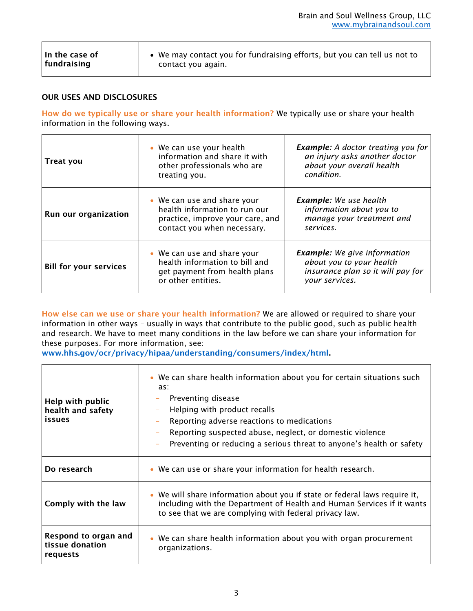#### OUR USES AND DISCLOSURES

How do we typically use or share your health information? We typically use or share your health information in the following ways.

| <b>Treat you</b>              | • We can use your health<br>information and share it with<br>other professionals who are<br>treating you.                       | <b>Example:</b> A doctor treating you for<br>an injury asks another doctor<br>about your overall health<br>condition.  |
|-------------------------------|---------------------------------------------------------------------------------------------------------------------------------|------------------------------------------------------------------------------------------------------------------------|
| Run our organization          | • We can use and share your<br>health information to run our<br>practice, improve your care, and<br>contact you when necessary. | <b>Example:</b> We use health<br>information about you to<br>manage your treatment and<br>services.                    |
| <b>Bill for your services</b> | • We can use and share your<br>health information to bill and<br>get payment from health plans<br>or other entities.            | <b>Example:</b> We give information<br>about you to your health<br>insurance plan so it will pay for<br>your services. |

How else can we use or share your health information? We are allowed or required to share your information in other ways – usually in ways that contribute to the public good, such as public health and research. We have to meet many conditions in the law before we can share your information for these purposes. For more information, see:

[www.hhs.gov/ocr/privacy/hipaa/understanding/consumers/index/html.](http://www.hhs.gov/ocr/privacy/hipaa/understanding/consumers/index/html)

| Help with public<br>health and safety<br>issues     | • We can share health information about you for certain situations such<br>as:<br>Preventing disease<br>Helping with product recalls<br>Reporting adverse reactions to medications<br>Reporting suspected abuse, neglect, or domestic violence<br>Preventing or reducing a serious threat to anyone's health or safety |
|-----------------------------------------------------|------------------------------------------------------------------------------------------------------------------------------------------------------------------------------------------------------------------------------------------------------------------------------------------------------------------------|
| Do research                                         | • We can use or share your information for health research.                                                                                                                                                                                                                                                            |
| Comply with the law                                 | • We will share information about you if state or federal laws require it,<br>including with the Department of Health and Human Services if it wants<br>to see that we are complying with federal privacy law.                                                                                                         |
| Respond to organ and<br>tissue donation<br>requests | • We can share health information about you with organ procurement<br>organizations.                                                                                                                                                                                                                                   |